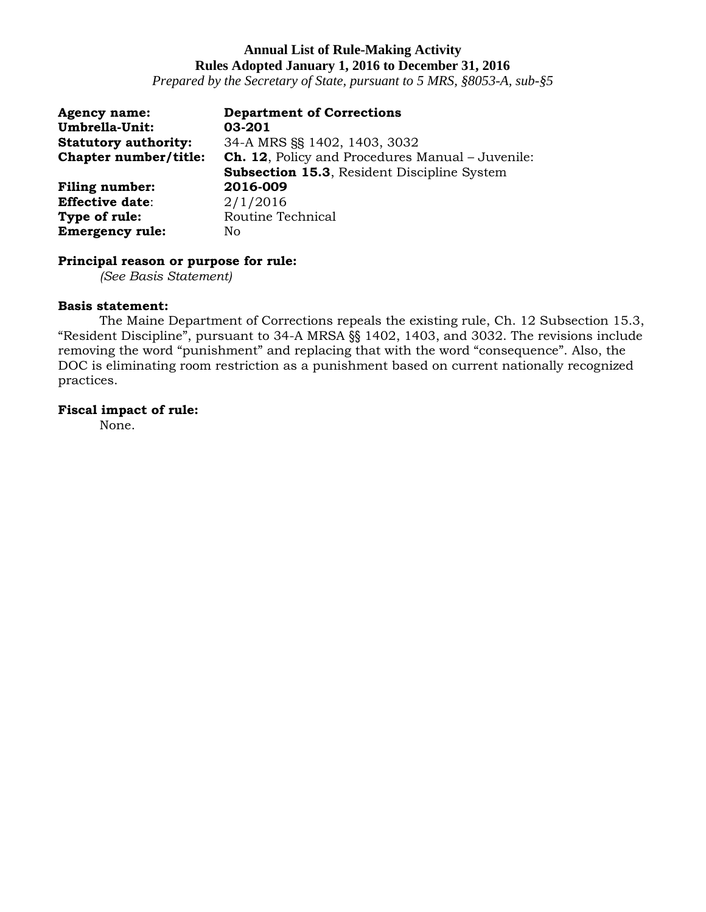*Prepared by the Secretary of State, pursuant to 5 MRS, §8053-A, sub-§5*

| <b>Agency name:</b><br><b>Umbrella-Unit:</b> | <b>Department of Corrections</b><br>03-201              |
|----------------------------------------------|---------------------------------------------------------|
| <b>Statutory authority:</b>                  | 34-A MRS SS 1402, 1403, 3032                            |
| Chapter number/title:                        | <b>Ch. 12, Policy and Procedures Manual - Juvenile:</b> |
|                                              | <b>Subsection 15.3, Resident Discipline System</b>      |
| <b>Filing number:</b>                        | 2016-009                                                |
| <b>Effective date:</b>                       | 2/1/2016                                                |
| Type of rule:                                | Routine Technical                                       |
| <b>Emergency rule:</b>                       | No                                                      |

### **Principal reason or purpose for rule:**

*(See Basis Statement)*

### **Basis statement:**

The Maine Department of Corrections repeals the existing rule, Ch. 12 Subsection 15.3, "Resident Discipline", pursuant to 34-A MRSA §§ 1402, 1403, and 3032. The revisions include removing the word "punishment" and replacing that with the word "consequence". Also, the DOC is eliminating room restriction as a punishment based on current nationally recognized practices.

# **Fiscal impact of rule:**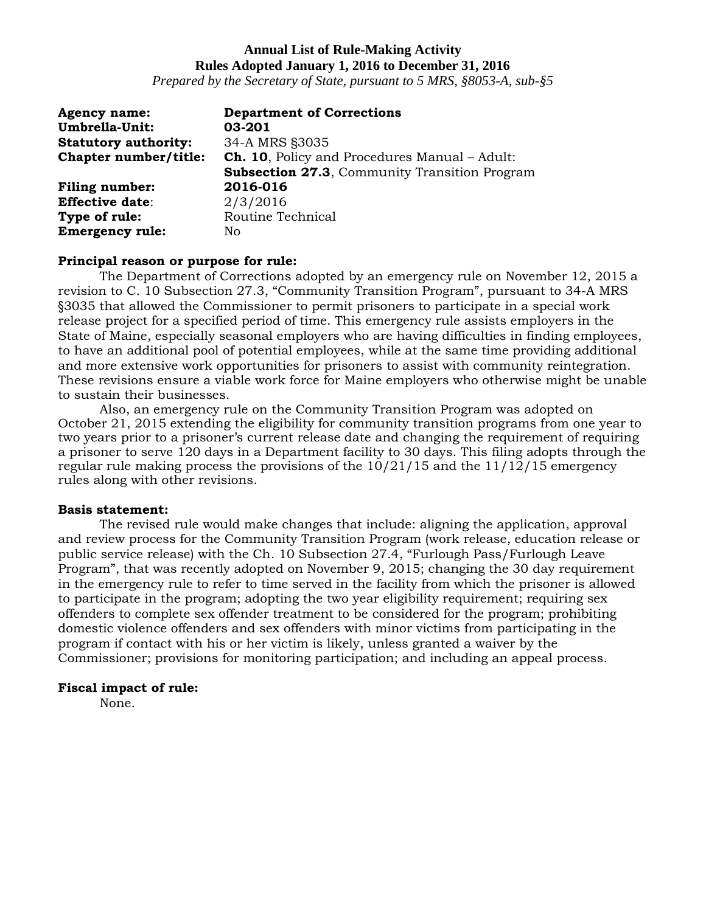*Prepared by the Secretary of State, pursuant to 5 MRS, §8053-A, sub-§5*

| <b>Agency name:</b>         | <b>Department of Corrections</b>                     |
|-----------------------------|------------------------------------------------------|
| Umbrella-Unit:              | 03-201                                               |
| <b>Statutory authority:</b> | 34-A MRS §3035                                       |
| Chapter number/title:       | <b>Ch. 10, Policy and Procedures Manual - Adult:</b> |
|                             | <b>Subsection 27.3, Community Transition Program</b> |
| <b>Filing number:</b>       | 2016-016                                             |
| <b>Effective date:</b>      | 2/3/2016                                             |
| Type of rule:               | Routine Technical                                    |
| <b>Emergency rule:</b>      | No.                                                  |

### **Principal reason or purpose for rule:**

The Department of Corrections adopted by an emergency rule on November 12, 2015 a revision to C. 10 Subsection 27.3, "Community Transition Program", pursuant to 34-A MRS §3035 that allowed the Commissioner to permit prisoners to participate in a special work release project for a specified period of time. This emergency rule assists employers in the State of Maine, especially seasonal employers who are having difficulties in finding employees, to have an additional pool of potential employees, while at the same time providing additional and more extensive work opportunities for prisoners to assist with community reintegration. These revisions ensure a viable work force for Maine employers who otherwise might be unable to sustain their businesses.

Also, an emergency rule on the Community Transition Program was adopted on October 21, 2015 extending the eligibility for community transition programs from one year to two years prior to a prisoner's current release date and changing the requirement of requiring a prisoner to serve 120 days in a Department facility to 30 days. This filing adopts through the regular rule making process the provisions of the  $10/21/15$  and the  $11/12/15$  emergency rules along with other revisions.

#### **Basis statement:**

The revised rule would make changes that include: aligning the application, approval and review process for the Community Transition Program (work release, education release or public service release) with the Ch. 10 Subsection 27.4, "Furlough Pass/Furlough Leave Program", that was recently adopted on November 9, 2015; changing the 30 day requirement in the emergency rule to refer to time served in the facility from which the prisoner is allowed to participate in the program; adopting the two year eligibility requirement; requiring sex offenders to complete sex offender treatment to be considered for the program; prohibiting domestic violence offenders and sex offenders with minor victims from participating in the program if contact with his or her victim is likely, unless granted a waiver by the Commissioner; provisions for monitoring participation; and including an appeal process.

### **Fiscal impact of rule:**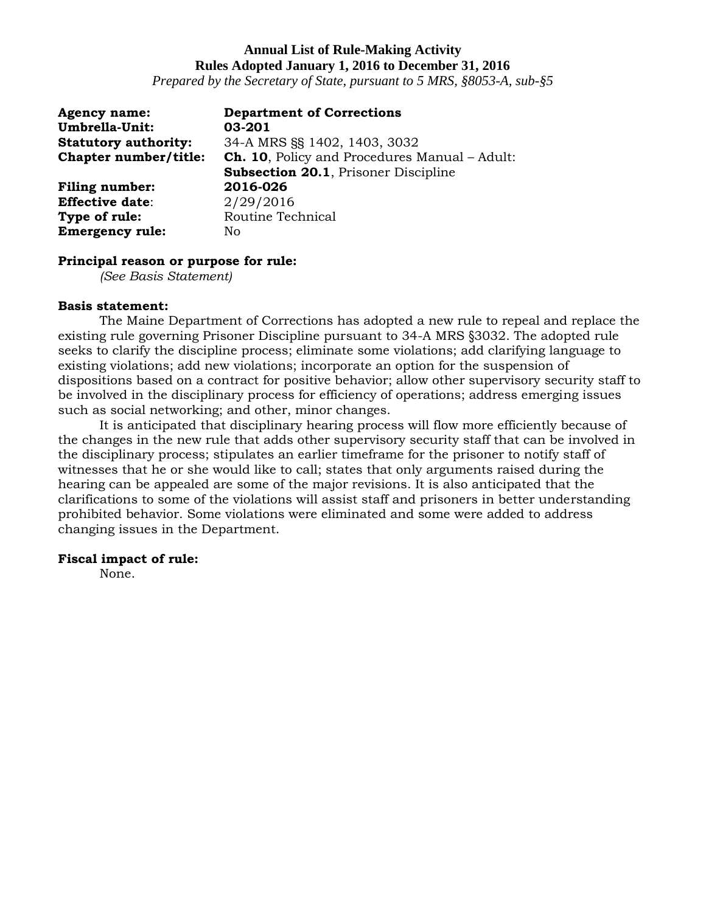*Prepared by the Secretary of State, pursuant to 5 MRS, §8053-A, sub-§5*

| <b>Agency name:</b>         | <b>Department of Corrections</b>                     |
|-----------------------------|------------------------------------------------------|
| Umbrella-Unit:              | 03-201                                               |
| <b>Statutory authority:</b> | 34-A MRS SS 1402, 1403, 3032                         |
| Chapter number/title:       | <b>Ch. 10.</b> Policy and Procedures Manual - Adult: |
|                             | <b>Subsection 20.1, Prisoner Discipline</b>          |
| <b>Filing number:</b>       | 2016-026                                             |
| <b>Effective date:</b>      | 2/29/2016                                            |
| Type of rule:               | Routine Technical                                    |
| <b>Emergency rule:</b>      | No                                                   |

#### **Principal reason or purpose for rule:**

*(See Basis Statement)*

#### **Basis statement:**

The Maine Department of Corrections has adopted a new rule to repeal and replace the existing rule governing Prisoner Discipline pursuant to 34-A MRS §3032. The adopted rule seeks to clarify the discipline process; eliminate some violations; add clarifying language to existing violations; add new violations; incorporate an option for the suspension of dispositions based on a contract for positive behavior; allow other supervisory security staff to be involved in the disciplinary process for efficiency of operations; address emerging issues such as social networking; and other, minor changes.

It is anticipated that disciplinary hearing process will flow more efficiently because of the changes in the new rule that adds other supervisory security staff that can be involved in the disciplinary process; stipulates an earlier timeframe for the prisoner to notify staff of witnesses that he or she would like to call; states that only arguments raised during the hearing can be appealed are some of the major revisions. It is also anticipated that the clarifications to some of the violations will assist staff and prisoners in better understanding prohibited behavior. Some violations were eliminated and some were added to address changing issues in the Department.

### **Fiscal impact of rule:**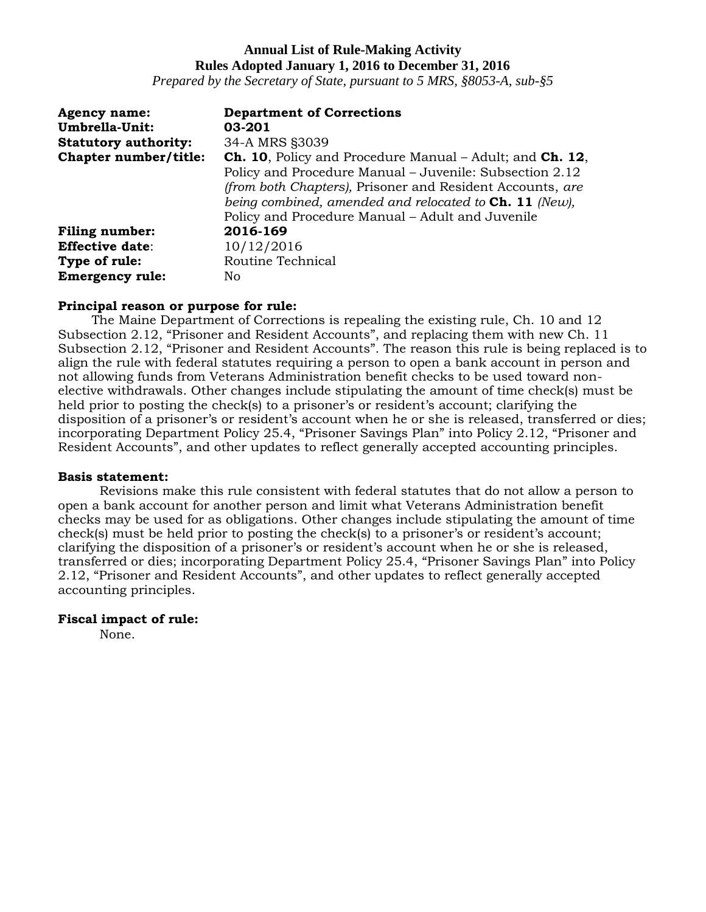*Prepared by the Secretary of State, pursuant to 5 MRS, §8053-A, sub-§5*

| <b>Agency name:</b>         | <b>Department of Corrections</b>                                |
|-----------------------------|-----------------------------------------------------------------|
| Umbrella-Unit:              | 03-201                                                          |
| <b>Statutory authority:</b> | 34-A MRS §3039                                                  |
| Chapter number/title:       | <b>Ch. 10, Policy and Procedure Manual – Adult; and Ch. 12,</b> |
|                             | Policy and Procedure Manual - Juvenile: Subsection 2.12         |
|                             | (from both Chapters), Prisoner and Resident Accounts, are       |
|                             | being combined, amended and relocated to $\text{Ch. 11}$ (New), |
|                             | Policy and Procedure Manual – Adult and Juvenile                |
| <b>Filing number:</b>       | 2016-169                                                        |
| <b>Effective date:</b>      | 10/12/2016                                                      |
| Type of rule:               | Routine Technical                                               |
| <b>Emergency rule:</b>      | No                                                              |

#### **Principal reason or purpose for rule:**

The Maine Department of Corrections is repealing the existing rule, Ch. 10 and 12 Subsection 2.12, "Prisoner and Resident Accounts", and replacing them with new Ch. 11 Subsection 2.12, "Prisoner and Resident Accounts". The reason this rule is being replaced is to align the rule with federal statutes requiring a person to open a bank account in person and not allowing funds from Veterans Administration benefit checks to be used toward nonelective withdrawals. Other changes include stipulating the amount of time check(s) must be held prior to posting the check(s) to a prisoner's or resident's account; clarifying the disposition of a prisoner's or resident's account when he or she is released, transferred or dies; incorporating Department Policy 25.4, "Prisoner Savings Plan" into Policy 2.12, "Prisoner and Resident Accounts", and other updates to reflect generally accepted accounting principles.

#### **Basis statement:**

Revisions make this rule consistent with federal statutes that do not allow a person to open a bank account for another person and limit what Veterans Administration benefit checks may be used for as obligations. Other changes include stipulating the amount of time check(s) must be held prior to posting the check(s) to a prisoner's or resident's account; clarifying the disposition of a prisoner's or resident's account when he or she is released, transferred or dies; incorporating Department Policy 25.4, "Prisoner Savings Plan" into Policy 2.12, "Prisoner and Resident Accounts", and other updates to reflect generally accepted accounting principles.

### **Fiscal impact of rule:**